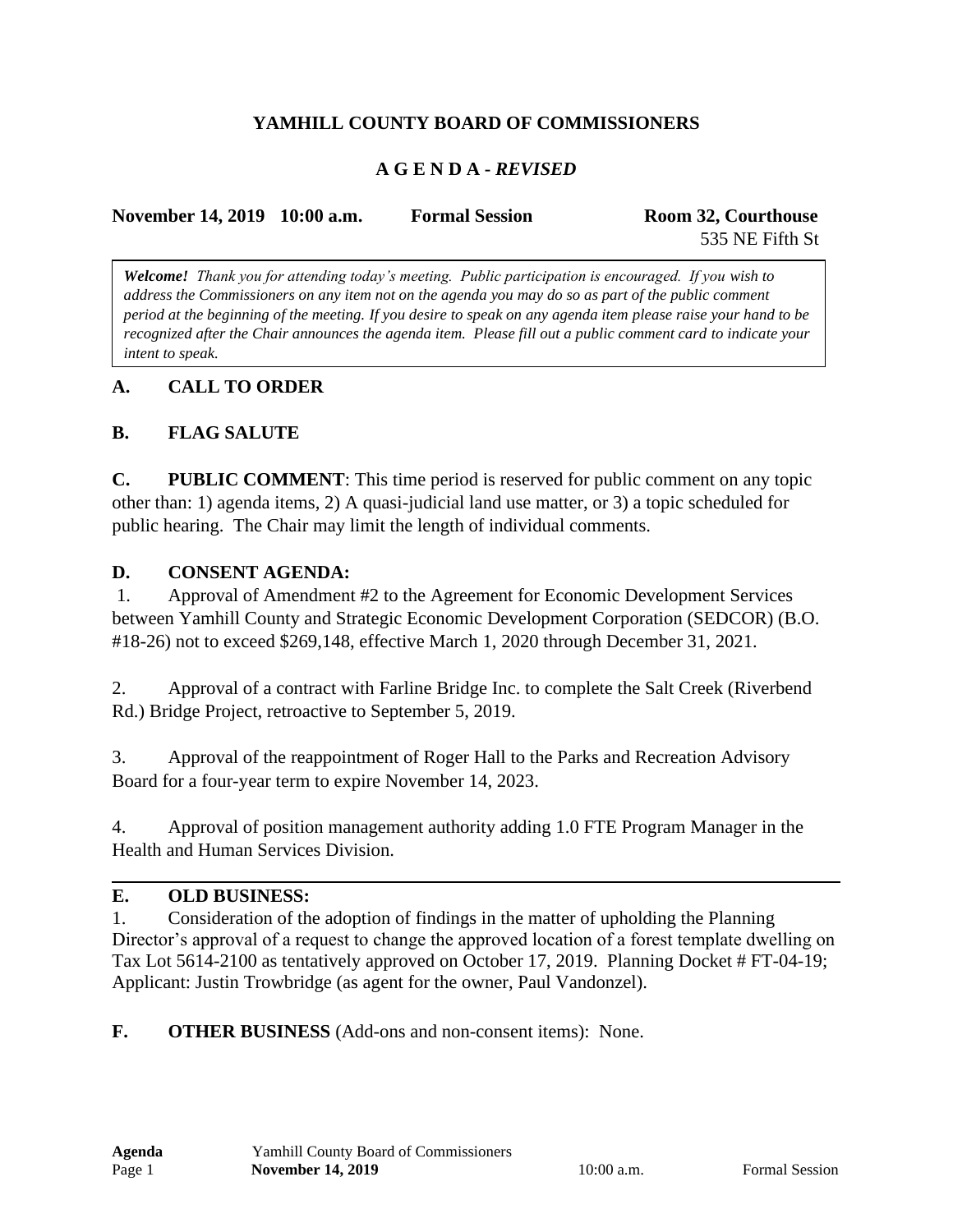# **YAMHILL COUNTY BOARD OF COMMISSIONERS**

### **A G E N D A -** *REVISED*

| November 14, 2019 10:00 a.m. | <b>Formal Session</b> | Room 32, Courthouse |
|------------------------------|-----------------------|---------------------|
|                              |                       | 535 NE Fifth St     |

*Welcome! Thank you for attending today's meeting. Public participation is encouraged. If you wish to address the Commissioners on any item not on the agenda you may do so as part of the public comment period at the beginning of the meeting. If you desire to speak on any agenda item please raise your hand to be recognized after the Chair announces the agenda item. Please fill out a public comment card to indicate your intent to speak.*

### **A. CALL TO ORDER**

### **B. FLAG SALUTE**

**C. PUBLIC COMMENT**: This time period is reserved for public comment on any topic other than: 1) agenda items, 2) A quasi-judicial land use matter, or 3) a topic scheduled for public hearing. The Chair may limit the length of individual comments.

#### **D. CONSENT AGENDA:**

1. Approval of Amendment #2 to the Agreement for Economic Development Services between Yamhill County and Strategic Economic Development Corporation (SEDCOR) (B.O. #18-26) not to exceed \$269,148, effective March 1, 2020 through December 31, 2021.

2. Approval of a contract with Farline Bridge Inc. to complete the Salt Creek (Riverbend Rd.) Bridge Project, retroactive to September 5, 2019.

3. Approval of the reappointment of Roger Hall to the Parks and Recreation Advisory Board for a four-year term to expire November 14, 2023.

4. Approval of position management authority adding 1.0 FTE Program Manager in the Health and Human Services Division.

#### **E. OLD BUSINESS:**

1. Consideration of the adoption of findings in the matter of upholding the Planning Director's approval of a request to change the approved location of a forest template dwelling on Tax Lot 5614-2100 as tentatively approved on October 17, 2019. Planning Docket # FT-04-19; Applicant: Justin Trowbridge (as agent for the owner, Paul Vandonzel).

**F. OTHER BUSINESS** (Add-ons and non-consent items): None.